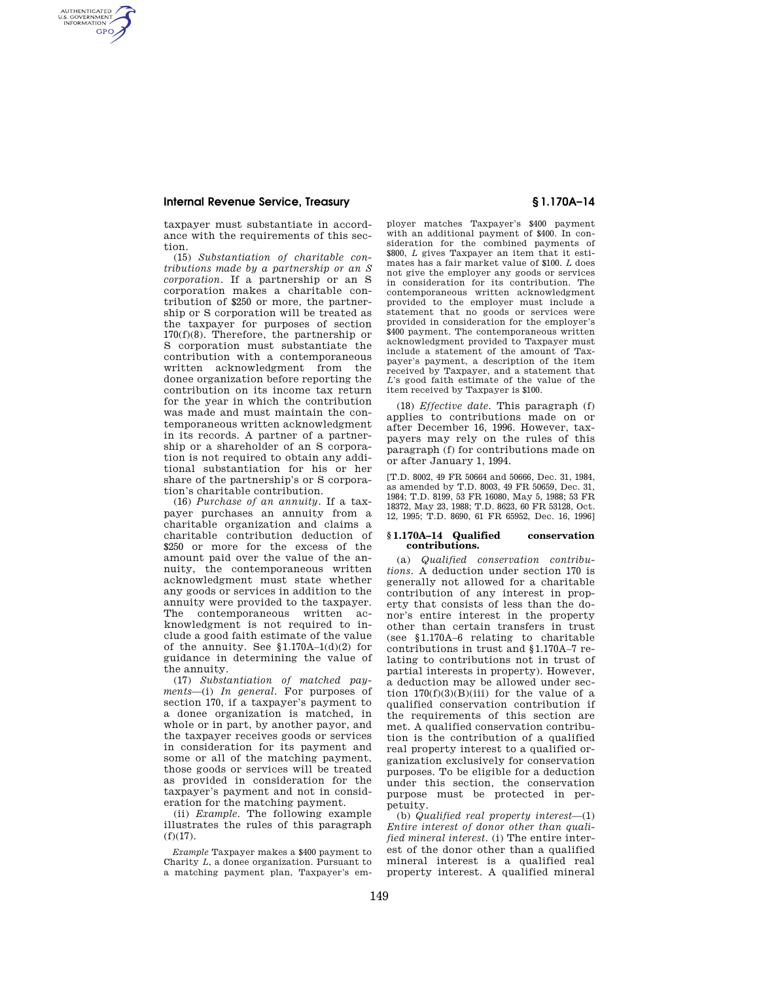AUTHENTICATED<br>U.S. GOVERNMENT<br>INFORMATION **GPO** 

> taxpayer must substantiate in accordance with the requirements of this section.

(15) *Substantiation of charitable contributions made by a partnership or an S corporation.* If a partnership or an S corporation makes a charitable contribution of \$250 or more, the partnership or S corporation will be treated as the taxpayer for purposes of section 170(f)(8). Therefore, the partnership or S corporation must substantiate the contribution with a contemporaneous written acknowledgment from the donee organization before reporting the contribution on its income tax return for the year in which the contribution was made and must maintain the contemporaneous written acknowledgment in its records. A partner of a partnership or a shareholder of an S corporation is not required to obtain any additional substantiation for his or her share of the partnership's or S corporation's charitable contribution.

(16) *Purchase of an annuity.* If a taxpayer purchases an annuity from a charitable organization and claims a charitable contribution deduction of \$250 or more for the excess of the amount paid over the value of the annuity, the contemporaneous written acknowledgment must state whether any goods or services in addition to the annuity were provided to the taxpayer. The contemporaneous written acknowledgment is not required to include a good faith estimate of the value of the annuity. See  $$1.170A-1(d)(2)$  for guidance in determining the value of the annuity.

(17) *Substantiation of matched payments—*(i) *In general.* For purposes of section 170, if a taxpayer's payment to a donee organization is matched, in whole or in part, by another payor, and the taxpayer receives goods or services in consideration for its payment and some or all of the matching payment, those goods or services will be treated as provided in consideration for the taxpayer's payment and not in consideration for the matching payment.

(ii) *Example.* The following example illustrates the rules of this paragraph  $(f)(17)$ .

*Example* Taxpayer makes a \$400 payment to Charity *L*, a donee organization. Pursuant to a matching payment plan, Taxpayer's em-

ployer matches Taxpayer's \$400 payment with an additional payment of \$400. In consideration for the combined payments of \$800, *L* gives Taxpayer an item that it estimates has a fair market value of \$100. *L* does not give the employer any goods or services in consideration for its contribution. The contemporaneous written acknowledgment provided to the employer must include a statement that no goods or services were provided in consideration for the employer's \$400 payment. The contemporaneous written acknowledgment provided to Taxpayer must include a statement of the amount of Taxpayer's payment, a description of the item received by Taxpayer, and a statement that *L*'s good faith estimate of the value of the item received by Taxpayer is \$100.

(18) *Effective date.* This paragraph (f) applies to contributions made on or after December 16, 1996. However, taxpayers may rely on the rules of this paragraph (f) for contributions made on or after January 1, 1994.

[T.D. 8002, 49 FR 50664 and 50666, Dec. 31, 1984, as amended by T.D. 8003, 49 FR 50659, Dec. 31, 1984; T.D. 8199, 53 FR 16080, May 5, 1988; 53 FR 18372, May 23, 1988; T.D. 8623, 60 FR 53128, Oct. 12, 1995; T.D. 8690, 61 FR 65952, Dec. 16, 1996]

#### **§ 1.170A–14 Qualified conservation contributions.**

(a) *Qualified conservation contributions.* A deduction under section 170 is generally not allowed for a charitable contribution of any interest in property that consists of less than the donor's entire interest in the property other than certain transfers in trust (see § 1.170A–6 relating to charitable contributions in trust and § 1.170A–7 relating to contributions not in trust of partial interests in property). However, a deduction may be allowed under section  $170(f)(3)(B)(iii)$  for the value of a qualified conservation contribution if the requirements of this section are met. A qualified conservation contribution is the contribution of a qualified real property interest to a qualified organization exclusively for conservation purposes. To be eligible for a deduction under this section, the conservation purpose must be protected in perpetuity.

(b) *Qualified real property interest—*(1) *Entire interest of donor other than qualified mineral interest.* (i) The entire interest of the donor other than a qualified mineral interest is a qualified real property interest. A qualified mineral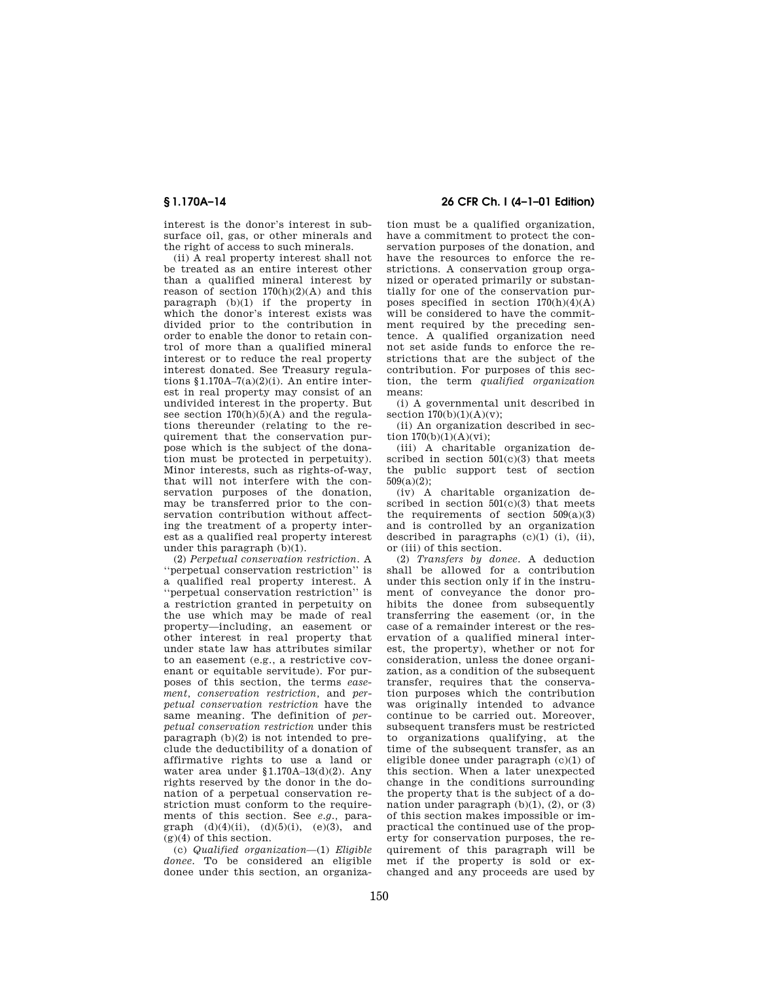interest is the donor's interest in subsurface oil, gas, or other minerals and the right of access to such minerals.

(ii) A real property interest shall not be treated as an entire interest other than a qualified mineral interest by reason of section  $170(h)(2)(A)$  and this paragraph (b)(1) if the property in which the donor's interest exists was divided prior to the contribution in order to enable the donor to retain control of more than a qualified mineral interest or to reduce the real property interest donated. See Treasury regulations § 1.170A–7(a)(2)(i). An entire interest in real property may consist of an undivided interest in the property. But see section  $170(h)(5)(A)$  and the regulations thereunder (relating to the requirement that the conservation purpose which is the subject of the donation must be protected in perpetuity). Minor interests, such as rights-of-way, that will not interfere with the conservation purposes of the donation, may be transferred prior to the conservation contribution without affecting the treatment of a property interest as a qualified real property interest under this paragraph (b)(1).

(2) *Perpetual conservation restriction.* A ''perpetual conservation restriction'' is a qualified real property interest. A ''perpetual conservation restriction'' is a restriction granted in perpetuity on the use which may be made of real property—including, an easement or other interest in real property that under state law has attributes similar to an easement (e.g., a restrictive covenant or equitable servitude). For purposes of this section, the terms *easement, conservation restriction,* and *perpetual conservation restriction* have the same meaning. The definition of *perpetual conservation restriction* under this paragraph (b)(2) is not intended to preclude the deductibility of a donation of affirmative rights to use a land or water area under § 1.170A–13(d)(2). Any rights reserved by the donor in the donation of a perpetual conservation restriction must conform to the requirements of this section. See *e.g.,* paragraph  $(d)(4)(ii)$ ,  $(d)(5)(i)$ ,  $(e)(3)$ , and  $(g)(4)$  of this section.

(c) *Qualified organization—*(1) *Eligible donee.* To be considered an eligible donee under this section, an organiza-

## **§ 1.170A–14 26 CFR Ch. I (4–1–01 Edition)**

tion must be a qualified organization, have a commitment to protect the conservation purposes of the donation, and have the resources to enforce the restrictions. A conservation group organized or operated primarily or substantially for one of the conservation purposes specified in section  $170(h)(4)(A)$ will be considered to have the commitment required by the preceding sentence. A qualified organization need not set aside funds to enforce the restrictions that are the subject of the contribution. For purposes of this section, the term *qualified organization* means:

(i) A governmental unit described in section  $170(b)(1)(A)(v)$ ;

(ii) An organization described in section  $170(b)(1)(A)(vi)$ ;

(iii) A charitable organization described in section  $501(c)(3)$  that meets the public support test of section  $509(a)(2)$ ;

(iv) A charitable organization described in section  $501(c)(3)$  that meets the requirements of section  $509(a)(3)$ and is controlled by an organization described in paragraphs  $(c)(1)$  (i), (ii), or (iii) of this section.

(2) *Transfers by donee.* A deduction shall be allowed for a contribution under this section only if in the instrument of conveyance the donor prohibits the donee from subsequently transferring the easement (or, in the case of a remainder interest or the reservation of a qualified mineral interest, the property), whether or not for consideration, unless the donee organization, as a condition of the subsequent transfer, requires that the conservation purposes which the contribution was originally intended to advance continue to be carried out. Moreover, subsequent transfers must be restricted to organizations qualifying, at the time of the subsequent transfer, as an eligible donee under paragraph (c)(1) of this section. When a later unexpected change in the conditions surrounding the property that is the subject of a donation under paragraph  $(b)(1)$ ,  $(2)$ , or  $(3)$ of this section makes impossible or impractical the continued use of the property for conservation purposes, the requirement of this paragraph will be met if the property is sold or exchanged and any proceeds are used by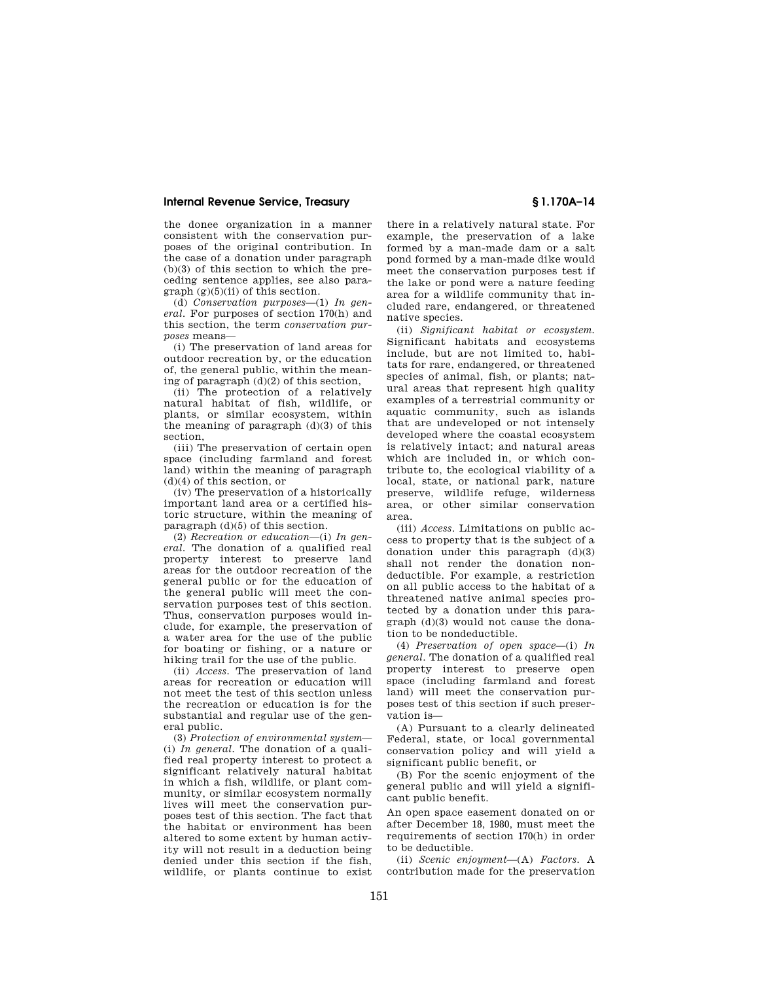the donee organization in a manner consistent with the conservation purposes of the original contribution. In the case of a donation under paragraph (b)(3) of this section to which the preceding sentence applies, see also para $graph (g)(5)(ii)$  of this section.

(d) *Conservation purposes*—(1) *In general.* For purposes of section 170(h) and this section, the term *conservation purposes* means—

(i) The preservation of land areas for outdoor recreation by, or the education of, the general public, within the meaning of paragraph  $(d)(2)$  of this section,

(ii) The protection of a relatively natural habitat of fish, wildlife, or plants, or similar ecosystem, within the meaning of paragraph  $(d)(3)$  of this section,

(iii) The preservation of certain open space (including farmland and forest land) within the meaning of paragraph (d)(4) of this section, or

(iv) The preservation of a historically important land area or a certified historic structure, within the meaning of paragraph (d)(5) of this section.

(2) *Recreation or education*—(i) *In general.* The donation of a qualified real property interest to preserve land areas for the outdoor recreation of the general public or for the education of the general public will meet the conservation purposes test of this section. Thus, conservation purposes would include, for example, the preservation of a water area for the use of the public for boating or fishing, or a nature or hiking trail for the use of the public.

(ii) *Access.* The preservation of land areas for recreation or education will not meet the test of this section unless the recreation or education is for the substantial and regular use of the general public.

(3) *Protection of environmental system*— (i) *In general.* The donation of a qualified real property interest to protect a significant relatively natural habitat in which a fish, wildlife, or plant community, or similar ecosystem normally lives will meet the conservation purposes test of this section. The fact that the habitat or environment has been altered to some extent by human activity will not result in a deduction being denied under this section if the fish, wildlife, or plants continue to exist

there in a relatively natural state. For example, the preservation of a lake formed by a man-made dam or a salt pond formed by a man-made dike would meet the conservation purposes test if the lake or pond were a nature feeding area for a wildlife community that included rare, endangered, or threatened native species.

(ii) *Significant habitat or ecosystem.* Significant habitats and ecosystems include, but are not limited to, habitats for rare, endangered, or threatened species of animal, fish, or plants; natural areas that represent high quality examples of a terrestrial community or aquatic community, such as islands that are undeveloped or not intensely developed where the coastal ecosystem is relatively intact; and natural areas which are included in, or which contribute to, the ecological viability of a local, state, or national park, nature preserve, wildlife refuge, wilderness area, or other similar conservation area.

(iii) *Access*. Limitations on public access to property that is the subject of a donation under this paragraph (d)(3) shall not render the donation nondeductible. For example, a restriction on all public access to the habitat of a threatened native animal species protected by a donation under this paragraph (d)(3) would not cause the donation to be nondeductible.

(4) *Preservation of open space*—(i) *In general*. The donation of a qualified real property interest to preserve open space (including farmland and forest land) will meet the conservation purposes test of this section if such preservation is—

(A) Pursuant to a clearly delineated Federal, state, or local governmental conservation policy and will yield a significant public benefit, or

(B) For the scenic enjoyment of the general public and will yield a significant public benefit.

An open space easement donated on or after December 18, 1980, must meet the requirements of section 170(h) in order to be deductible.

(ii) *Scenic enjoyment*—(A) *Factors.* A contribution made for the preservation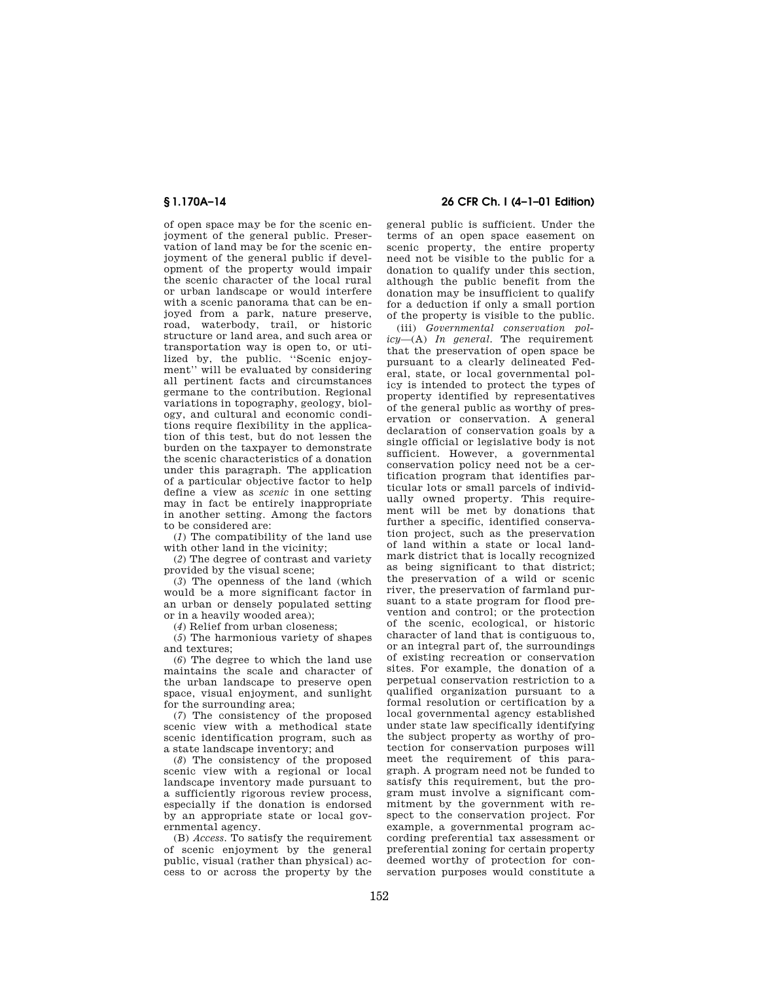of open space may be for the scenic enjoyment of the general public. Preservation of land may be for the scenic enjoyment of the general public if development of the property would impair the scenic character of the local rural or urban landscape or would interfere with a scenic panorama that can be enjoyed from a park, nature preserve, road, waterbody, trail, or historic structure or land area, and such area or transportation way is open to, or utilized by, the public. "Scenic enjoyment'' will be evaluated by considering all pertinent facts and circumstances germane to the contribution. Regional variations in topography, geology, biology, and cultural and economic conditions require flexibility in the application of this test, but do not lessen the burden on the taxpayer to demonstrate the scenic characteristics of a donation under this paragraph. The application of a particular objective factor to help define a view as *scenic* in one setting may in fact be entirely inappropriate in another setting. Among the factors to be considered are:

(*1*) The compatibility of the land use with other land in the vicinity;

(*2*) The degree of contrast and variety provided by the visual scene;

(*3*) The openness of the land (which would be a more significant factor in an urban or densely populated setting or in a heavily wooded area);

(*4*) Relief from urban closeness;

(*5*) The harmonious variety of shapes and textures;

(*6*) The degree to which the land use maintains the scale and character of the urban landscape to preserve open space, visual enjoyment, and sunlight for the surrounding area;

(*7*) The consistency of the proposed scenic view with a methodical state scenic identification program, such as a state landscape inventory; and

(*8*) The consistency of the proposed scenic view with a regional or local landscape inventory made pursuant to a sufficiently rigorous review process, especially if the donation is endorsed by an appropriate state or local governmental agency.

(B) *Access.* To satisfy the requirement of scenic enjoyment by the general public, visual (rather than physical) access to or across the property by the

**§ 1.170A–14 26 CFR Ch. I (4–1–01 Edition)**

general public is sufficient. Under the terms of an open space easement on scenic property, the entire property need not be visible to the public for a donation to qualify under this section, although the public benefit from the donation may be insufficient to qualify for a deduction if only a small portion of the property is visible to the public.

(iii) *Governmental conservation policy*—(A) *In general.* The requirement that the preservation of open space be pursuant to a clearly delineated Federal, state, or local governmental policy is intended to protect the types of property identified by representatives of the general public as worthy of preservation or conservation. A general declaration of conservation goals by a single official or legislative body is not sufficient. However, a governmental conservation policy need not be a certification program that identifies particular lots or small parcels of individually owned property. This requirement will be met by donations that further a specific, identified conservation project, such as the preservation of land within a state or local landmark district that is locally recognized as being significant to that district; the preservation of a wild or scenic river, the preservation of farmland pursuant to a state program for flood prevention and control; or the protection of the scenic, ecological, or historic character of land that is contiguous to, or an integral part of, the surroundings of existing recreation or conservation sites. For example, the donation of a perpetual conservation restriction to a qualified organization pursuant to a formal resolution or certification by a local governmental agency established under state law specifically identifying the subject property as worthy of protection for conservation purposes will meet the requirement of this paragraph. A program need not be funded to satisfy this requirement, but the program must involve a significant commitment by the government with respect to the conservation project. For example, a governmental program according preferential tax assessment or preferential zoning for certain property deemed worthy of protection for conservation purposes would constitute a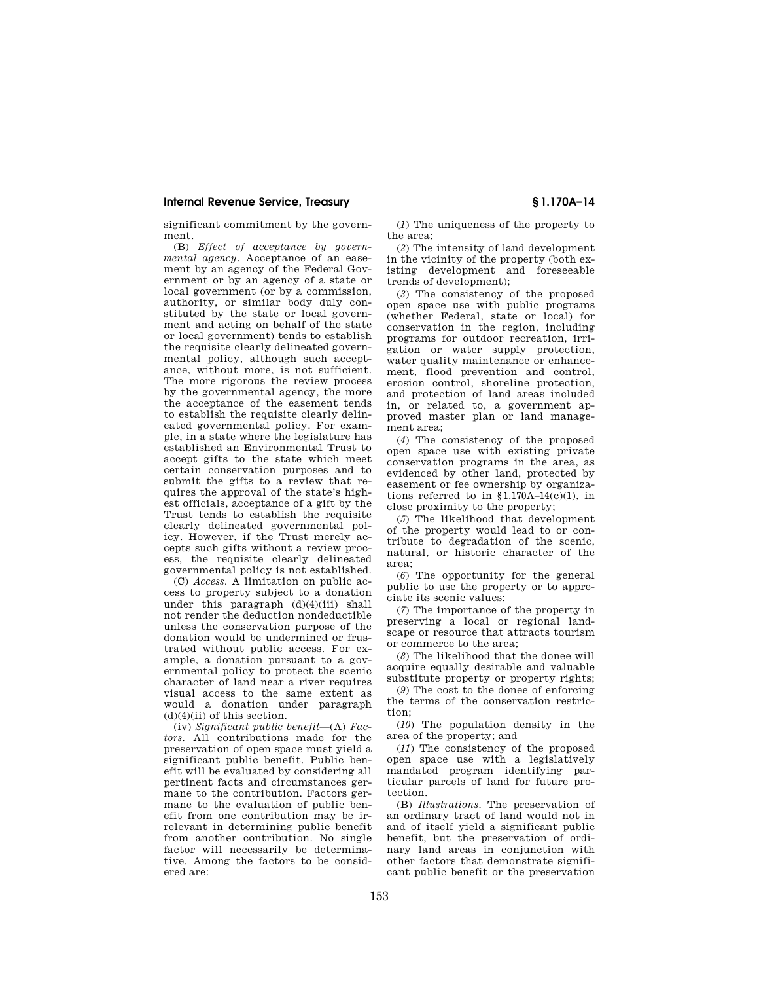significant commitment by the government.

(B) *Effect of acceptance by governmental agency.* Acceptance of an easement by an agency of the Federal Government or by an agency of a state or local government (or by a commission, authority, or similar body duly constituted by the state or local government and acting on behalf of the state or local government) tends to establish the requisite clearly delineated governmental policy, although such acceptance, without more, is not sufficient. The more rigorous the review process by the governmental agency, the more the acceptance of the easement tends to establish the requisite clearly delineated governmental policy. For example, in a state where the legislature has established an Environmental Trust to accept gifts to the state which meet certain conservation purposes and to submit the gifts to a review that requires the approval of the state's highest officials, acceptance of a gift by the Trust tends to establish the requisite clearly delineated governmental policy. However, if the Trust merely accepts such gifts without a review process, the requisite clearly delineated governmental policy is not established.

(C) *Access.* A limitation on public access to property subject to a donation under this paragraph (d)(4)(iii) shall not render the deduction nondeductible unless the conservation purpose of the donation would be undermined or frustrated without public access. For example, a donation pursuant to a governmental policy to protect the scenic character of land near a river requires visual access to the same extent as would a donation under paragraph  $(d)(4)(ii)$  of this section.

(iv) *Significant public benefit—*(A) *Factors.* All contributions made for the preservation of open space must yield a significant public benefit. Public benefit will be evaluated by considering all pertinent facts and circumstances germane to the contribution. Factors germane to the evaluation of public benefit from one contribution may be irrelevant in determining public benefit from another contribution. No single factor will necessarily be determinative. Among the factors to be considered are:

(*1*) The uniqueness of the property to the area;

(*2*) The intensity of land development in the vicinity of the property (both existing development and foreseeable trends of development);

(*3*) The consistency of the proposed open space use with public programs (whether Federal, state or local) for conservation in the region, including programs for outdoor recreation, irrigation or water supply protection, water quality maintenance or enhancement, flood prevention and control, erosion control, shoreline protection, and protection of land areas included in, or related to, a government approved master plan or land management area;

(*4*) The consistency of the proposed open space use with existing private conservation programs in the area, as evidenced by other land, protected by easement or fee ownership by organizations referred to in  $$1.170A-14(c)(1)$ , in close proximity to the property;

(*5*) The likelihood that development of the property would lead to or contribute to degradation of the scenic, natural, or historic character of the area;

(*6*) The opportunity for the general public to use the property or to appreciate its scenic values;

(*7*) The importance of the property in preserving a local or regional landscape or resource that attracts tourism or commerce to the area;

(*8*) The likelihood that the donee will acquire equally desirable and valuable substitute property or property rights;

(*9*) The cost to the donee of enforcing the terms of the conservation restriction;

(*10*) The population density in the area of the property; and

(*11*) The consistency of the proposed open space use with a legislatively mandated program identifying particular parcels of land for future protection.

(B) *Illustrations.* The preservation of an ordinary tract of land would not in and of itself yield a significant public benefit, but the preservation of ordinary land areas in conjunction with other factors that demonstrate significant public benefit or the preservation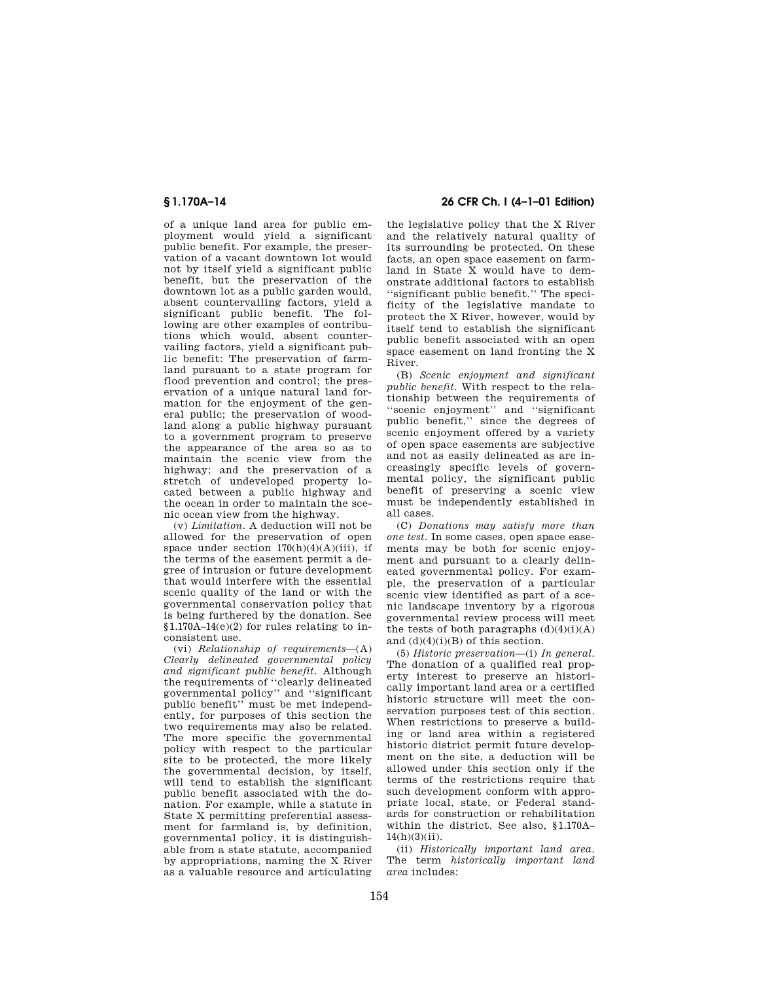of a unique land area for public employment would yield a significant public benefit. For example, the preservation of a vacant downtown lot would not by itself yield a significant public benefit, but the preservation of the downtown lot as a public garden would, absent countervailing factors, yield a significant public benefit. The following are other examples of contributions which would, absent countervailing factors, yield a significant public benefit: The preservation of farmland pursuant to a state program for flood prevention and control; the preservation of a unique natural land formation for the enjoyment of the general public; the preservation of woodland along a public highway pursuant to a government program to preserve the appearance of the area so as to maintain the scenic view from the highway; and the preservation of a stretch of undeveloped property located between a public highway and the ocean in order to maintain the scenic ocean view from the highway.

(v) *Limitation.* A deduction will not be allowed for the preservation of open space under section  $170(h)(4)(A)(iii)$ , if the terms of the easement permit a degree of intrusion or future development that would interfere with the essential scenic quality of the land or with the governmental conservation policy that is being furthered by the donation. See § 1.170A–14(e)(2) for rules relating to inconsistent use.

(vi) *Relationship of requirements*—(A) *Clearly delineated governmental policy and significant public benefit.* Although the requirements of ''clearly delineated governmental policy'' and ''significant public benefit'' must be met independently, for purposes of this section the two requirements may also be related. The more specific the governmental policy with respect to the particular site to be protected, the more likely the governmental decision, by itself, will tend to establish the significant public benefit associated with the donation. For example, while a statute in State X permitting preferential assessment for farmland is, by definition, governmental policy, it is distinguishable from a state statute, accompanied by appropriations, naming the  $\overline{X}$  River as a valuable resource and articulating

# **§ 1.170A–14 26 CFR Ch. I (4–1–01 Edition)**

the legislative policy that the X River and the relatively natural quality of its surrounding be protected. On these facts, an open space easement on farmland in State X would have to demonstrate additional factors to establish ''significant public benefit.'' The specificity of the legislative mandate to protect the X River, however, would by itself tend to establish the significant public benefit associated with an open space easement on land fronting the X River.

(B) *Scenic enjoyment and significant public benefit.* With respect to the relationship between the requirements of ''scenic enjoyment'' and ''significant public benefit,'' since the degrees of scenic enjoyment offered by a variety of open space easements are subjective and not as easily delineated as are increasingly specific levels of governmental policy, the significant public benefit of preserving a scenic view must be independently established in all cases.

(C) *Donations may satisfy more than one test.* In some cases, open space easements may be both for scenic enjoyment and pursuant to a clearly delineated governmental policy. For example, the preservation of a particular scenic view identified as part of a scenic landscape inventory by a rigorous governmental review process will meet the tests of both paragraphs  $(d)(4)(i)(A)$ and  $(d)(4)(i)(B)$  of this section.

(5) *Historic preservation*—(i) *In general.* The donation of a qualified real property interest to preserve an historically important land area or a certified historic structure will meet the conservation purposes test of this section. When restrictions to preserve a building or land area within a registered historic district permit future development on the site, a deduction will be allowed under this section only if the terms of the restrictions require that such development conform with appropriate local, state, or Federal standards for construction or rehabilitation within the district. See also, § 1.170A–  $14(h)(3)(ii)$ .

(ii) *Historically important land area.* The term *historically important land area* includes: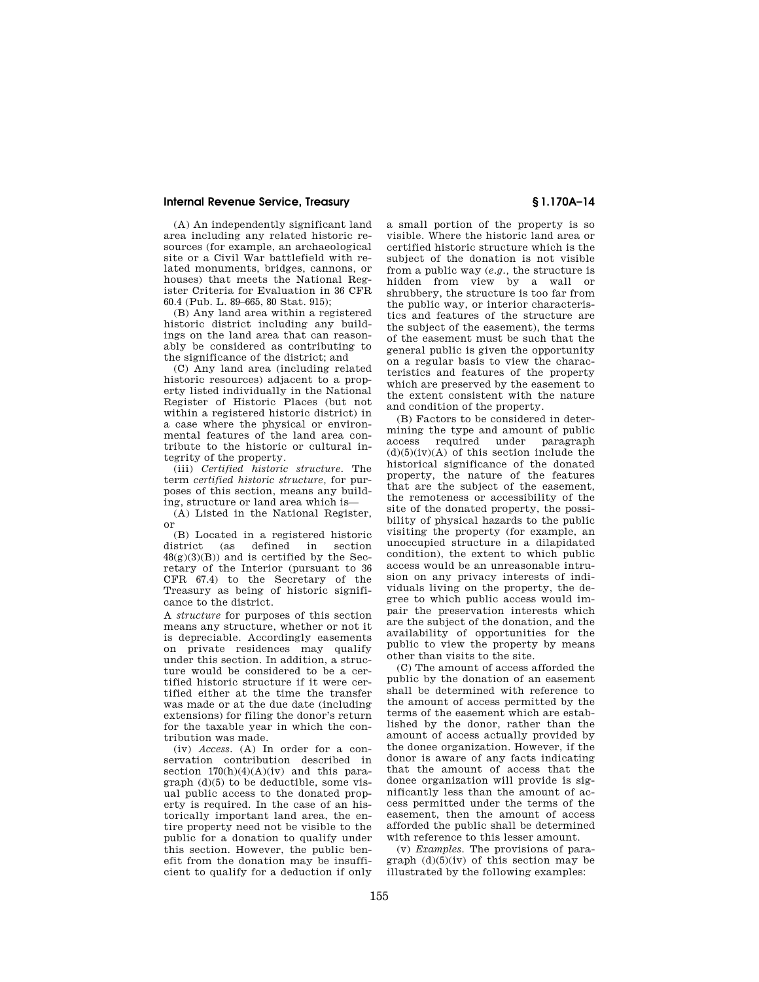(A) An independently significant land area including any related historic resources (for example, an archaeological site or a Civil War battlefield with related monuments, bridges, cannons, or houses) that meets the National Register Criteria for Evaluation in 36 CFR 60.4 (Pub. L. 89–665, 80 Stat. 915);

(B) Any land area within a registered historic district including any buildings on the land area that can reasonably be considered as contributing to the significance of the district; and

(C) Any land area (including related historic resources) adjacent to a property listed individually in the National Register of Historic Places (but not within a registered historic district) in a case where the physical or environmental features of the land area contribute to the historic or cultural integrity of the property.

(iii) *Certified historic structure.* The term *certified historic structure,* for purposes of this section, means any building, structure or land area which is—

(A) Listed in the National Register, or

(B) Located in a registered historic district (as defined in section  $48(g)(3)(B)$  and is certified by the Secretary of the Interior (pursuant to 36 CFR 67.4) to the Secretary of the Treasury as being of historic significance to the district.

A *structure* for purposes of this section means any structure, whether or not it is depreciable. Accordingly easements on private residences may qualify under this section. In addition, a structure would be considered to be a certified historic structure if it were certified either at the time the transfer was made or at the due date (including extensions) for filing the donor's return for the taxable year in which the contribution was made.

(iv) *Access.* (A) In order for a conservation contribution described in section  $170(h)(4)(A)(iv)$  and this paragraph (d)(5) to be deductible, some visual public access to the donated property is required. In the case of an historically important land area, the entire property need not be visible to the public for a donation to qualify under this section. However, the public benefit from the donation may be insufficient to qualify for a deduction if only a small portion of the property is so visible. Where the historic land area or certified historic structure which is the subject of the donation is not visible from a public way (*e.g.,* the structure is hidden from view by a wall or shrubbery, the structure is too far from the public way, or interior characteristics and features of the structure are the subject of the easement), the terms of the easement must be such that the general public is given the opportunity on a regular basis to view the characteristics and features of the property which are preserved by the easement to the extent consistent with the nature and condition of the property.

(B) Factors to be considered in determining the type and amount of public access required under paragraph  $(d)(5)(iv)(A)$  of this section include the historical significance of the donated property, the nature of the features that are the subject of the easement, the remoteness or accessibility of the site of the donated property, the possibility of physical hazards to the public visiting the property (for example, an unoccupied structure in a dilapidated condition), the extent to which public access would be an unreasonable intrusion on any privacy interests of individuals living on the property, the degree to which public access would impair the preservation interests which are the subject of the donation, and the availability of opportunities for the public to view the property by means other than visits to the site.

(C) The amount of access afforded the public by the donation of an easement shall be determined with reference to the amount of access permitted by the terms of the easement which are established by the donor, rather than the amount of access actually provided by the donee organization. However, if the donor is aware of any facts indicating that the amount of access that the donee organization will provide is significantly less than the amount of access permitted under the terms of the easement, then the amount of access afforded the public shall be determined with reference to this lesser amount.

(v) *Examples.* The provisions of paragraph  $(d)(5)(iv)$  of this section may be illustrated by the following examples: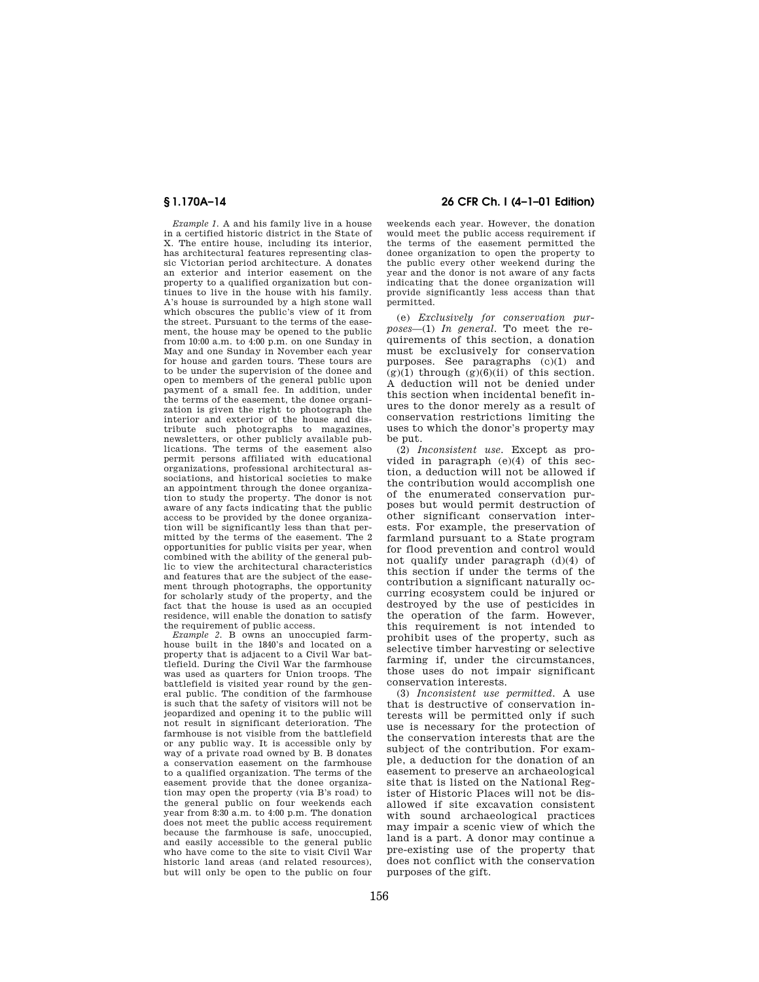*Example 1.* A and his family live in a house in a certified historic district in the State of X. The entire house, including its interior, has architectural features representing classic Victorian period architecture. A donates an exterior and interior easement on the property to a qualified organization but continues to live in the house with his family. A's house is surrounded by a high stone wall which obscures the public's view of it from the street. Pursuant to the terms of the easement, the house may be opened to the public from 10:00 a.m. to 4:00 p.m. on one Sunday in May and one Sunday in November each year for house and garden tours. These tours are to be under the supervision of the donee and open to members of the general public upon payment of a small fee. In addition, under the terms of the easement, the donee organization is given the right to photograph the interior and exterior of the house and distribute such photographs to magazines, newsletters, or other publicly available publications. The terms of the easement also permit persons affiliated with educational organizations, professional architectural associations, and historical societies to make an appointment through the donee organization to study the property. The donor is not aware of any facts indicating that the public access to be provided by the donee organization will be significantly less than that permitted by the terms of the easement. The 2 opportunities for public visits per year, when combined with the ability of the general public to view the architectural characteristics and features that are the subject of the easement through photographs, the opportunity for scholarly study of the property, and the fact that the house is used as an occupied residence, will enable the donation to satisfy the requirement of public access.

*Example 2.* B owns an unoccupied farmhouse built in the 1840's and located on a property that is adjacent to a Civil War battlefield. During the Civil War the farmhouse was used as quarters for Union troops. The battlefield is visited year round by the general public. The condition of the farmhouse is such that the safety of visitors will not be jeopardized and opening it to the public will not result in significant deterioration. The farmhouse is not visible from the battlefield or any public way. It is accessible only by way of a private road owned by B. B donates a conservation easement on the farmhouse to a qualified organization. The terms of the easement provide that the donee organization may open the property (via B's road) to the general public on four weekends each year from 8:30 a.m. to 4:00 p.m. The donation does not meet the public access requirement because the farmhouse is safe, unoccupied, and easily accessible to the general public who have come to the site to visit Civil War historic land areas (and related resources), but will only be open to the public on four

## **§ 1.170A–14 26 CFR Ch. I (4–1–01 Edition)**

weekends each year. However, the donation would meet the public access requirement if the terms of the easement permitted the donee organization to open the property to the public every other weekend during the year and the donor is not aware of any facts indicating that the donee organization will provide significantly less access than that permitted.

(e) *Exclusively for conservation purposes*—(1) *In general.* To meet the requirements of this section, a donation must be exclusively for conservation purposes. See paragraphs (c)(1) and  $(g)(1)$  through  $(g)(6)(ii)$  of this section. A deduction will not be denied under this section when incidental benefit inures to the donor merely as a result of conservation restrictions limiting the uses to which the donor's property may be put.

(2) *Inconsistent use.* Except as provided in paragraph (e)(4) of this section, a deduction will not be allowed if the contribution would accomplish one of the enumerated conservation purposes but would permit destruction of other significant conservation interests. For example, the preservation of farmland pursuant to a State program for flood prevention and control would not qualify under paragraph (d)(4) of this section if under the terms of the contribution a significant naturally occurring ecosystem could be injured or destroyed by the use of pesticides in the operation of the farm. However, this requirement is not intended to prohibit uses of the property, such as selective timber harvesting or selective farming if, under the circumstances, those uses do not impair significant conservation interests.

(3) *Inconsistent use permitted.* A use that is destructive of conservation interests will be permitted only if such use is necessary for the protection of the conservation interests that are the subject of the contribution. For example, a deduction for the donation of an easement to preserve an archaeological site that is listed on the National Register of Historic Places will not be disallowed if site excavation consistent with sound archaeological practices may impair a scenic view of which the land is a part. A donor may continue a pre-existing use of the property that does not conflict with the conservation purposes of the gift.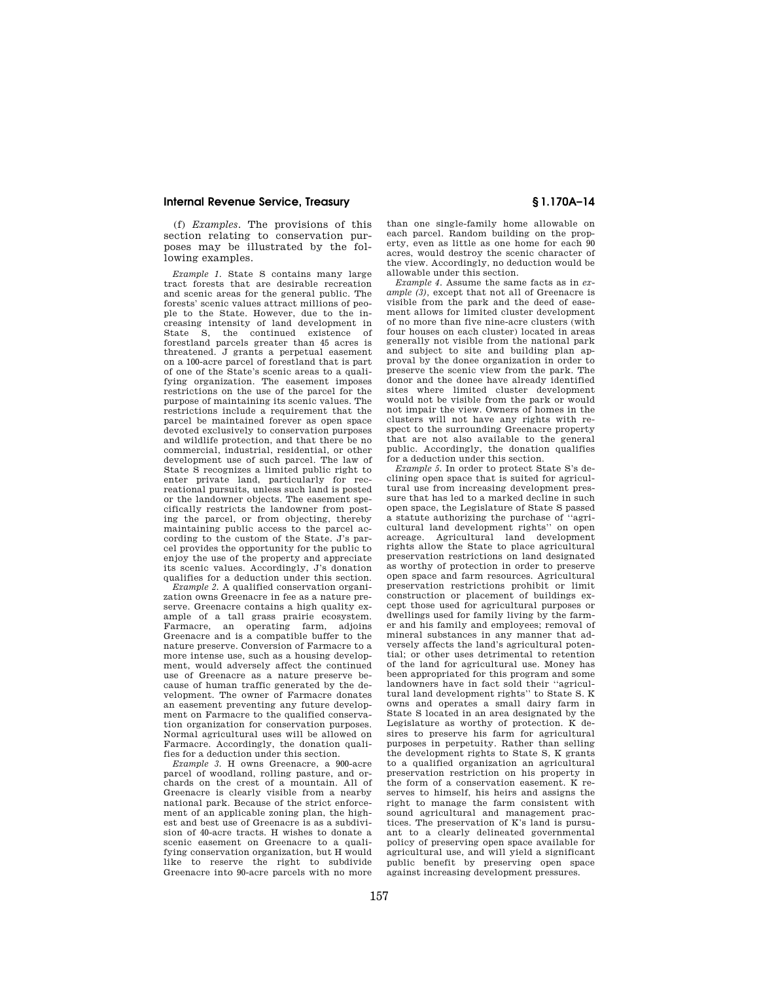(f) *Examples.* The provisions of this section relating to conservation purposes may be illustrated by the following examples.

*Example 1.* State S contains many large tract forests that are desirable recreation and scenic areas for the general public. The forests' scenic values attract millions of people to the State. However, due to the increasing intensity of land development in State S, the continued existence of forestland parcels greater than 45 acres is threatened. J grants a perpetual easement on a 100-acre parcel of forestland that is part of one of the State's scenic areas to a qualifying organization. The easement imposes restrictions on the use of the parcel for the purpose of maintaining its scenic values. The restrictions include a requirement that the parcel be maintained forever as open space devoted exclusively to conservation purposes and wildlife protection, and that there be no commercial, industrial, residential, or other development use of such parcel. The law of State S recognizes a limited public right to enter private land, particularly for recreational pursuits, unless such land is posted or the landowner objects. The easement specifically restricts the landowner from posting the parcel, or from objecting, thereby maintaining public access to the parcel according to the custom of the State. J's parcel provides the opportunity for the public to enjoy the use of the property and appreciate its scenic values. Accordingly, J's donation qualifies for a deduction under this section.

*Example 2.* A qualified conservation organization owns Greenacre in fee as a nature preserve. Greenacre contains a high quality example of a tall grass prairie ecosystem. Farmacre, an operating farm, adjoins Greenacre and is a compatible buffer to the nature preserve. Conversion of Farmacre to a more intense use, such as a housing development, would adversely affect the continued use of Greenacre as a nature preserve because of human traffic generated by the development. The owner of Farmacre donates an easement preventing any future development on Farmacre to the qualified conservation organization for conservation purposes. Normal agricultural uses will be allowed on Farmacre. Accordingly, the donation qualifies for a deduction under this section.

*Example 3.* H owns Greenacre, a 900-acre parcel of woodland, rolling pasture, and orchards on the crest of a mountain. All of Greenacre is clearly visible from a nearby national park. Because of the strict enforcement of an applicable zoning plan, the highest and best use of Greenacre is as a subdivision of 40-acre tracts. H wishes to donate a scenic easement on Greenacre to a qualifying conservation organization, but H would like to reserve the right to subdivide Greenacre into 90-acre parcels with no more than one single-family home allowable on each parcel. Random building on the property, even as little as one home for each 90 acres, would destroy the scenic character of the view. Accordingly, no deduction would be allowable under this section.

*Example 4.* Assume the same facts as in *example (3),* except that not all of Greenacre is visible from the park and the deed of easement allows for limited cluster development of no more than five nine-acre clusters (with four houses on each cluster) located in areas generally not visible from the national park and subject to site and building plan approval by the donee organization in order to preserve the scenic view from the park. The donor and the donee have already identified sites where limited cluster development would not be visible from the park or would not impair the view. Owners of homes in the clusters will not have any rights with respect to the surrounding Greenacre property that are not also available to the general public. Accordingly, the donation qualifies for a deduction under this section.

*Example 5.* In order to protect State S's declining open space that is suited for agricultural use from increasing development pressure that has led to a marked decline in such open space, the Legislature of State S passed a statute authorizing the purchase of ''agricultural land development rights'' on open acreage. Agricultural land development rights allow the State to place agricultural preservation restrictions on land designated as worthy of protection in order to preserve open space and farm resources. Agricultural preservation restrictions prohibit or limit construction or placement of buildings except those used for agricultural purposes or dwellings used for family living by the farmer and his family and employees; removal of mineral substances in any manner that adversely affects the land's agricultural potential; or other uses detrimental to retention of the land for agricultural use. Money has been appropriated for this program and some landowners have in fact sold their ''agricultural land development rights'' to State S. K owns and operates a small dairy farm in State S located in an area designated by the Legislature as worthy of protection. K desires to preserve his farm for agricultural purposes in perpetuity. Rather than selling the development rights to State S, K grants to a qualified organization an agricultural preservation restriction on his property in the form of a conservation easement. K reserves to himself, his heirs and assigns the right to manage the farm consistent with sound agricultural and management practices. The preservation of K's land is pursuant to a clearly delineated governmental policy of preserving open space available for agricultural use, and will yield a significant public benefit by preserving open space against increasing development pressures.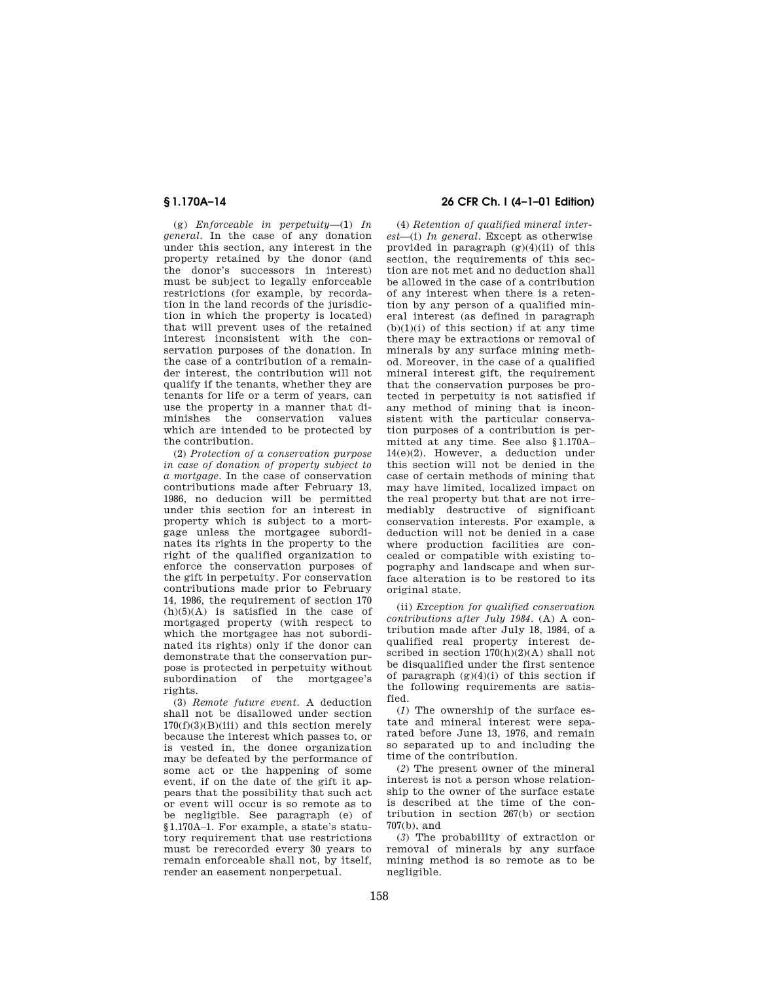(g) *Enforceable in perpetuity*—(1) *In general*. In the case of any donation under this section, any interest in the property retained by the donor (and the donor's successors in interest) must be subject to legally enforceable restrictions (for example, by recordation in the land records of the jurisdiction in which the property is located) that will prevent uses of the retained interest inconsistent with the conservation purposes of the donation. In the case of a contribution of a remainder interest, the contribution will not qualify if the tenants, whether they are tenants for life or a term of years, can use the property in a manner that diminishes the conservation values which are intended to be protected by the contribution.

(2) *Protection of a conservation purpose in case of donation of property subject to a mortgage.* In the case of conservation contributions made after February 13, 1986, no deducion will be permitted under this section for an interest in property which is subject to a mortgage unless the mortgagee subordinates its rights in the property to the right of the qualified organization to enforce the conservation purposes of the gift in perpetuity. For conservation contributions made prior to February 14, 1986, the requirement of section 170  $(h)(5)(A)$  is satisfied in the case of mortgaged property (with respect to which the mortgagee has not subordinated its rights) only if the donor can demonstrate that the conservation purpose is protected in perpetuity without subordination of the mortgagee's rights.

(3) *Remote future event.* A deduction shall not be disallowed under section  $170(f)(3)(B)(iii)$  and this section merely because the interest which passes to, or is vested in, the donee organization may be defeated by the performance of some act or the happening of some event, if on the date of the gift it appears that the possibility that such act or event will occur is so remote as to be negligible. See paragraph (e) of § 1.170A–1. For example, a state's statutory requirement that use restrictions must be rerecorded every 30 years to remain enforceable shall not, by itself, render an easement nonperpetual.

## **§ 1.170A–14 26 CFR Ch. I (4–1–01 Edition)**

(4) *Retention of qualified mineral interest*—(i) *In general*. Except as otherwise provided in paragraph  $(g)(4)(ii)$  of this section, the requirements of this section are not met and no deduction shall be allowed in the case of a contribution of any interest when there is a retention by any person of a qualified mineral interest (as defined in paragraph  $(b)(1)(i)$  of this section) if at any time there may be extractions or removal of minerals by any surface mining method. Moreover, in the case of a qualified mineral interest gift, the requirement that the conservation purposes be protected in perpetuity is not satisfied if any method of mining that is inconsistent with the particular conservation purposes of a contribution is permitted at any time. See also § 1.170A– 14(e)(2). However, a deduction under this section will not be denied in the case of certain methods of mining that may have limited, localized impact on the real property but that are not irremediably destructive of significant conservation interests. For example, a deduction will not be denied in a case where production facilities are concealed or compatible with existing topography and landscape and when surface alteration is to be restored to its original state.

(ii) *Exception for qualified conservation contributions after July 1984.* (A) A contribution made after July 18, 1984, of a qualified real property interest described in section 170(h)(2)(A) shall not be disqualified under the first sentence of paragraph (g)(4)(i) of this section if the following requirements are satisfied.

(*1*) The ownership of the surface estate and mineral interest were separated before June 13, 1976, and remain so separated up to and including the time of the contribution.

(*2*) The present owner of the mineral interest is not a person whose relationship to the owner of the surface estate is described at the time of the contribution in section 267(b) or section 707(b), and

(*3*) The probability of extraction or removal of minerals by any surface mining method is so remote as to be negligible.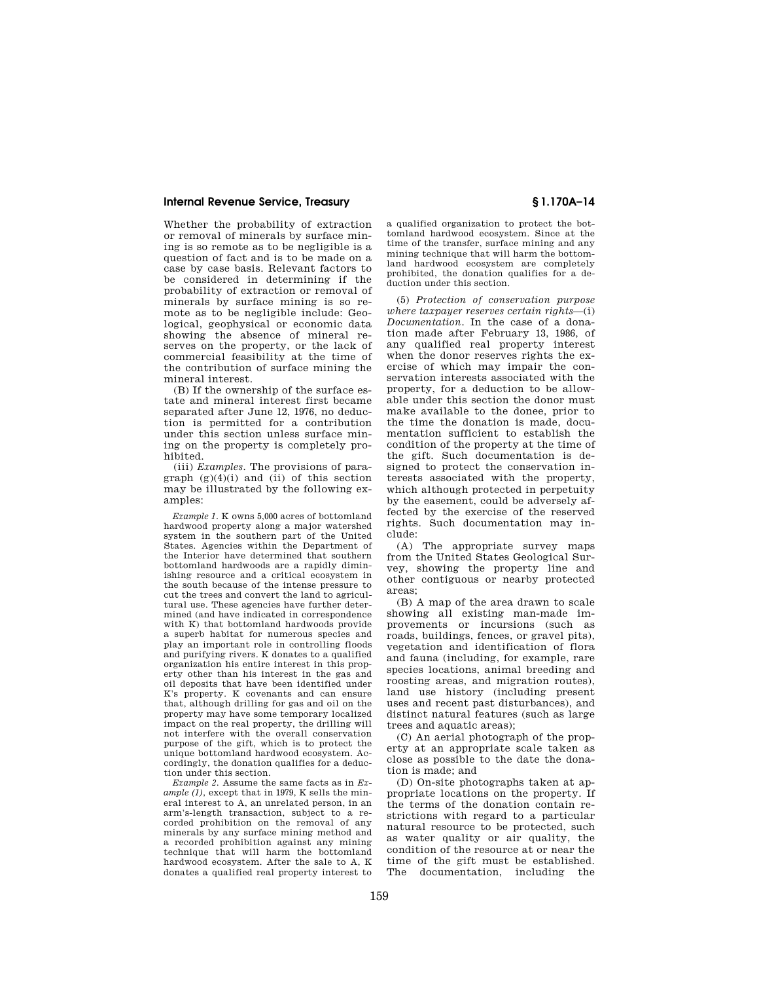Whether the probability of extraction or removal of minerals by surface mining is so remote as to be negligible is a question of fact and is to be made on a case by case basis. Relevant factors to be considered in determining if the probability of extraction or removal of minerals by surface mining is so remote as to be negligible include: Geological, geophysical or economic data showing the absence of mineral reserves on the property, or the lack of commercial feasibility at the time of the contribution of surface mining the mineral interest.

(B) If the ownership of the surface estate and mineral interest first became separated after June 12, 1976, no deduction is permitted for a contribution under this section unless surface mining on the property is completely prohibited.

(iii) *Examples.* The provisions of paragraph  $(g)(4)(i)$  and  $(ii)$  of this section may be illustrated by the following examples:

*Example 1.* K owns 5,000 acres of bottomland hardwood property along a major watershed system in the southern part of the United States. Agencies within the Department of the Interior have determined that southern bottomland hardwoods are a rapidly diminishing resource and a critical ecosystem in the south because of the intense pressure to cut the trees and convert the land to agricultural use. These agencies have further determined (and have indicated in correspondence with K) that bottomland hardwoods provide a superb habitat for numerous species and play an important role in controlling floods and purifying rivers. K donates to a qualified organization his entire interest in this property other than his interest in the gas and oil deposits that have been identified under K's property. K covenants and can ensure that, although drilling for gas and oil on the property may have some temporary localized impact on the real property, the drilling will not interfere with the overall conservation purpose of the gift, which is to protect the unique bottomland hardwood ecosystem. Accordingly, the donation qualifies for a deduction under this section.

*Example 2.* Assume the same facts as in *Example*  $(1)$ , except that in 1979, K sells the mineral interest to A, an unrelated person, in an arm's-length transaction, subject to a recorded prohibition on the removal of any minerals by any surface mining method and a recorded prohibition against any mining technique that will harm the bottomland hardwood ecosystem. After the sale to A, K donates a qualified real property interest to a qualified organization to protect the bottomland hardwood ecosystem. Since at the time of the transfer, surface mining and any mining technique that will harm the bottomland hardwood ecosystem are completely prohibited, the donation qualifies for a deduction under this section.

(5) *Protection of conservation purpose where taxpayer reserves certain rights*—(i) *Documentation.* In the case of a donation made after February 13, 1986, of any qualified real property interest when the donor reserves rights the exercise of which may impair the conservation interests associated with the property, for a deduction to be allowable under this section the donor must make available to the donee, prior to the time the donation is made, documentation sufficient to establish the condition of the property at the time of the gift. Such documentation is designed to protect the conservation interests associated with the property, which although protected in perpetuity by the easement, could be adversely affected by the exercise of the reserved rights. Such documentation may include:

(A) The appropriate survey maps from the United States Geological Survey, showing the property line and other contiguous or nearby protected areas;

(B) A map of the area drawn to scale showing all existing man-made improvements or incursions (such as roads, buildings, fences, or gravel pits), vegetation and identification of flora and fauna (including, for example, rare species locations, animal breeding and roosting areas, and migration routes), land use history (including present uses and recent past disturbances), and distinct natural features (such as large trees and aquatic areas);

(C) An aerial photograph of the property at an appropriate scale taken as close as possible to the date the donation is made; and

(D) On-site photographs taken at appropriate locations on the property. If the terms of the donation contain restrictions with regard to a particular natural resource to be protected, such as water quality or air quality, the condition of the resource at or near the time of the gift must be established. The documentation, including the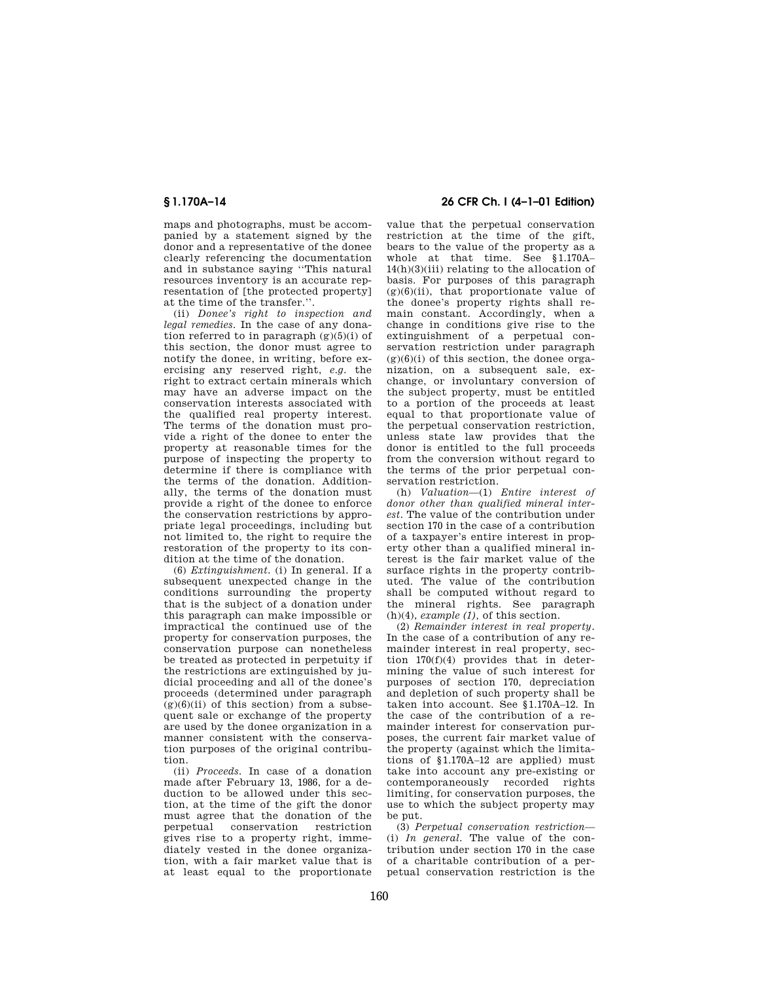maps and photographs, must be accompanied by a statement signed by the donor and a representative of the donee clearly referencing the documentation and in substance saying ''This natural resources inventory is an accurate representation of [the protected property] at the time of the transfer.''.

(ii) *Donee's right to inspection and legal remedies.* In the case of any donation referred to in paragraph  $(g)(5)(i)$  of this section, the donor must agree to notify the donee, in writing, before exercising any reserved right, *e.g.* the right to extract certain minerals which may have an adverse impact on the conservation interests associated with the qualified real property interest. The terms of the donation must provide a right of the donee to enter the property at reasonable times for the purpose of inspecting the property to determine if there is compliance with the terms of the donation. Additionally, the terms of the donation must provide a right of the donee to enforce the conservation restrictions by appropriate legal proceedings, including but not limited to, the right to require the restoration of the property to its condition at the time of the donation.

(6) *Extinguishment.* (i) In general. If a subsequent unexpected change in the conditions surrounding the property that is the subject of a donation under this paragraph can make impossible or impractical the continued use of the property for conservation purposes, the conservation purpose can nonetheless be treated as protected in perpetuity if the restrictions are extinguished by judicial proceeding and all of the donee's proceeds (determined under paragraph  $(g)(6)(ii)$  of this section) from a subsequent sale or exchange of the property are used by the donee organization in a manner consistent with the conservation purposes of the original contribution.

(ii) *Proceeds.* In case of a donation made after February 13, 1986, for a deduction to be allowed under this section, at the time of the gift the donor must agree that the donation of the perpetual conservation restriction gives rise to a property right, immediately vested in the donee organization, with a fair market value that is at least equal to the proportionate

## **§ 1.170A–14 26 CFR Ch. I (4–1–01 Edition)**

value that the perpetual conservation restriction at the time of the gift, bears to the value of the property as a whole at that time. See § 1.170A– 14(h)(3)(iii) relating to the allocation of basis. For purposes of this paragraph  $(g)(6)(ii)$ , that proportionate value of the donee's property rights shall remain constant. Accordingly, when a change in conditions give rise to the extinguishment of a perpetual conservation restriction under paragraph  $(g)(6)(i)$  of this section, the donee organization, on a subsequent sale, exchange, or involuntary conversion of the subject property, must be entitled to a portion of the proceeds at least equal to that proportionate value of the perpetual conservation restriction, unless state law provides that the donor is entitled to the full proceeds from the conversion without regard to the terms of the prior perpetual conservation restriction.

(h) *Valuation*—(1) *Entire interest of donor other than qualified mineral interest.* The value of the contribution under section 170 in the case of a contribution of a taxpayer's entire interest in property other than a qualified mineral interest is the fair market value of the surface rights in the property contributed. The value of the contribution shall be computed without regard to the mineral rights. See paragraph (h)(4), *example (1),* of this section.

(2) *Remainder interest in real property.* In the case of a contribution of any remainder interest in real property, section 170(f)(4) provides that in determining the value of such interest for purposes of section 170, depreciation and depletion of such property shall be taken into account. See § 1.170A–12. In the case of the contribution of a remainder interest for conservation purposes, the current fair market value of the property (against which the limitations of § 1.170A–12 are applied) must take into account any pre-existing or contemporaneously recorded rights limiting, for conservation purposes, the use to which the subject property may be put.

(3) *Perpetual conservation restriction—* (i) *In general.* The value of the contribution under section 170 in the case of a charitable contribution of a perpetual conservation restriction is the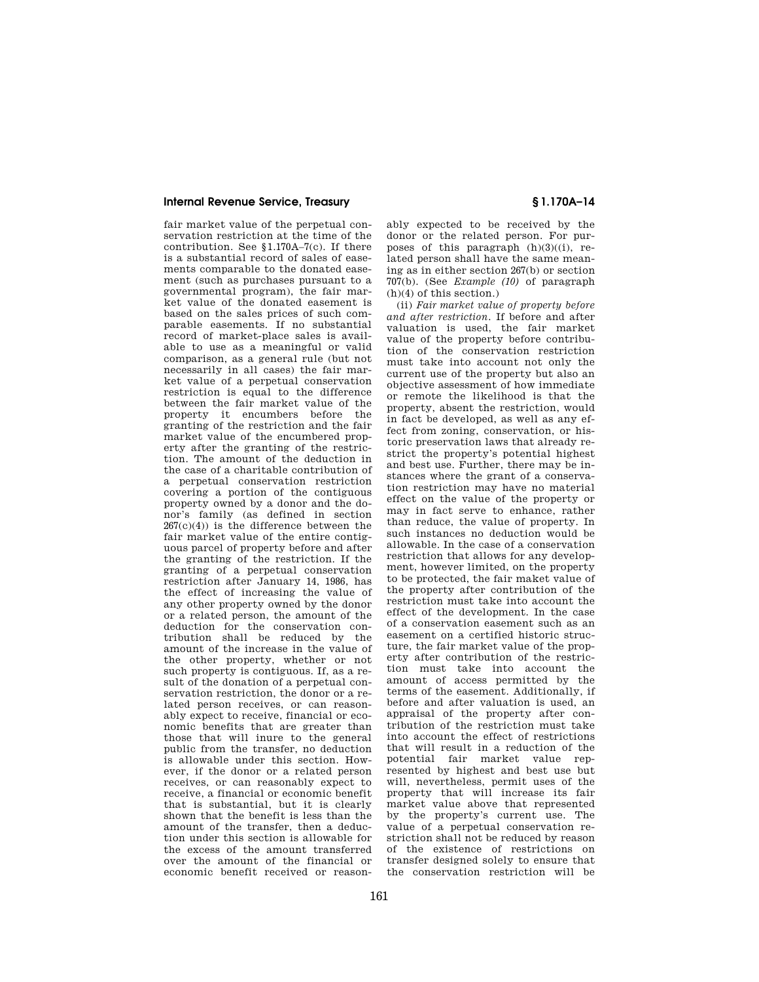fair market value of the perpetual conservation restriction at the time of the contribution. See § 1.170A–7(c). If there is a substantial record of sales of easements comparable to the donated easement (such as purchases pursuant to a governmental program), the fair market value of the donated easement is based on the sales prices of such comparable easements. If no substantial record of market-place sales is available to use as a meaningful or valid comparison, as a general rule (but not necessarily in all cases) the fair market value of a perpetual conservation restriction is equal to the difference between the fair market value of the property it encumbers before the granting of the restriction and the fair market value of the encumbered property after the granting of the restriction. The amount of the deduction in the case of a charitable contribution of a perpetual conservation restriction covering a portion of the contiguous property owned by a donor and the donor's family (as defined in section  $267(c)(4)$  is the difference between the fair market value of the entire contiguous parcel of property before and after the granting of the restriction. If the granting of a perpetual conservation restriction after January 14, 1986, has the effect of increasing the value of any other property owned by the donor or a related person, the amount of the deduction for the conservation contribution shall be reduced by the amount of the increase in the value of the other property, whether or not such property is contiguous. If, as a result of the donation of a perpetual conservation restriction, the donor or a related person receives, or can reasonably expect to receive, financial or economic benefits that are greater than those that will inure to the general public from the transfer, no deduction is allowable under this section. However, if the donor or a related person receives, or can reasonably expect to receive, a financial or economic benefit that is substantial, but it is clearly shown that the benefit is less than the amount of the transfer, then a deduction under this section is allowable for the excess of the amount transferred over the amount of the financial or economic benefit received or reason-

ably expected to be received by the donor or the related person. For purposes of this paragraph  $(h)(3)((i))$ , related person shall have the same meaning as in either section 267(b) or section 707(b). (See *Example (10)* of paragraph (h)(4) of this section.)

(ii) *Fair market value of property before and after restriction.* If before and after valuation is used, the fair market value of the property before contribution of the conservation restriction must take into account not only the current use of the property but also an objective assessment of how immediate or remote the likelihood is that the property, absent the restriction, would in fact be developed, as well as any effect from zoning, conservation, or historic preservation laws that already restrict the property's potential highest and best use. Further, there may be instances where the grant of a conservation restriction may have no material effect on the value of the property or may in fact serve to enhance, rather than reduce, the value of property. In such instances no deduction would be allowable. In the case of a conservation restriction that allows for any development, however limited, on the property to be protected, the fair maket value of the property after contribution of the restriction must take into account the effect of the development. In the case of a conservation easement such as an easement on a certified historic structure, the fair market value of the property after contribution of the restriction must take into account the amount of access permitted by the terms of the easement. Additionally, if before and after valuation is used, an appraisal of the property after contribution of the restriction must take into account the effect of restrictions that will result in a reduction of the potential fair market value represented by highest and best use but will, nevertheless, permit uses of the property that will increase its fair market value above that represented by the property's current use. The value of a perpetual conservation restriction shall not be reduced by reason of the existence of restrictions on transfer designed solely to ensure that the conservation restriction will be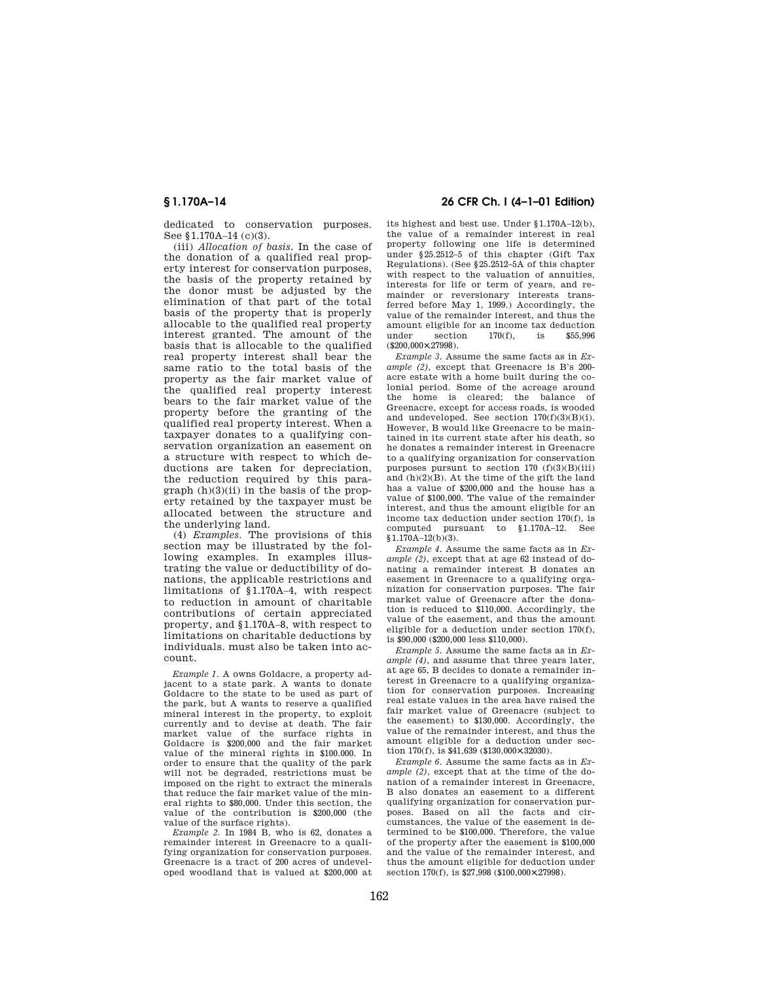dedicated to conservation purposes. See §1.170A-14 (c)(3).

(iii) *Allocation of basis.* In the case of the donation of a qualified real property interest for conservation purposes, the basis of the property retained by the donor must be adjusted by the elimination of that part of the total basis of the property that is properly allocable to the qualified real property interest granted. The amount of the basis that is allocable to the qualified real property interest shall bear the same ratio to the total basis of the property as the fair market value of the qualified real property interest bears to the fair market value of the property before the granting of the qualified real property interest. When a taxpayer donates to a qualifying conservation organization an easement on a structure with respect to which deductions are taken for depreciation, the reduction required by this para $graph (h)(3)(ii)$  in the basis of the property retained by the taxpayer must be allocated between the structure and the underlying land.

(4) *Examples.* The provisions of this section may be illustrated by the following examples. In examples illustrating the value or deductibility of donations, the applicable restrictions and limitations of § 1.170A–4, with respect to reduction in amount of charitable contributions of certain appreciated property, and § 1.170A–8, with respect to limitations on charitable deductions by individuals. must also be taken into account.

*Example 1.* A owns Goldacre, a property adjacent to a state park. A wants to donate Goldacre to the state to be used as part of the park, but A wants to reserve a qualified mineral interest in the property, to exploit currently and to devise at death. The fair market value of the surface rights in Goldacre is \$200,000 and the fair market value of the mineral rights in \$100.000. In order to ensure that the quality of the park will not be degraded, restrictions must be imposed on the right to extract the minerals that reduce the fair market value of the mineral rights to \$80,000. Under this section, the value of the contribution is \$200,000 (the value of the surface rights).

*Example 2.* In 1984 B, who is 62, donates a remainder interest in Greenacre to a qualifying organization for conservation purposes. Greenacre is a tract of 200 acres of undeveloped woodland that is valued at \$200,000 at

## **§ 1.170A–14 26 CFR Ch. I (4–1–01 Edition)**

its highest and best use. Under § 1.170A–12(b), the value of a remainder interest in real property following one life is determined under § 25.2512–5 of this chapter (Gift Tax Regulations). (See § 25.2512–5A of this chapter with respect to the valuation of annuities, interests for life or term of years, and remainder or reversionary interests transferred before May 1, 1999.) Accordingly, the value of the remainder interest, and thus the amount eligible for an income tax deduction under section 170(f), is \$55,996 (\$200,000×.27998).

*Example 3.* Assume the same facts as in *Example (2)*, except that Greenacre is B's 200 acre estate with a home built during the colonial period. Some of the acreage around the home is cleared; the balance of Greenacre, except for access roads, is wooded and undeveloped. See section 170(f)(3)(B)(i). However, B would like Greenacre to be maintained in its current state after his death, so he donates a remainder interest in Greenacre to a qualifying organization for conservation purposes pursunt to section  $170$  (f)(3)(B)(iii) and (h)(2)(B). At the time of the gift the land has a value of \$200,000 and the house has a value of \$100,000. The value of the remainder interest, and thus the amount eligible for an income tax deduction under section 170(f), is computed pursuant to § 1.170A–12. See § 1.170A–12(b)(3).

*Example 4.* Assume the same facts as in *Example (2)*, except that at age 62 instead of donating a remainder interest B donates an easement in Greenacre to a qualifying organization for conservation purposes. The fair market value of Greenacre after the donation is reduced to \$110,000. Accordingly, the value of the easement, and thus the amount eligible for a deduction under section 170(f), is \$90,000 (\$200,000 less \$110,000).

*Example 5.* Assume the same facts as in *Example (4)*, and assume that three years later, at age 65, B decides to donate a remainder interest in Greenacre to a qualifying organization for conservation purposes. Increasing real estate values in the area have raised the fair market value of Greenacre (subject to the easement) to \$130,000. Accordingly, the value of the remainder interest, and thus the amount eligible for a deduction under section 170(f), is \$41,639 (\$130,000×.32030).

*Example 6.* Assume the same facts as in *Example (2)*, except that at the time of the donation of a remainder interest in Greenacre, B also donates an easement to a different qualifying organization for conservation purposes. Based on all the facts and circumstances, the value of the easement is determined to be \$100,000. Therefore, the value of the property after the easement is \$100,000 and the value of the remainder interest, and thus the amount eligible for deduction under section 170(f), is \$27,998 (\$100,000×.27998).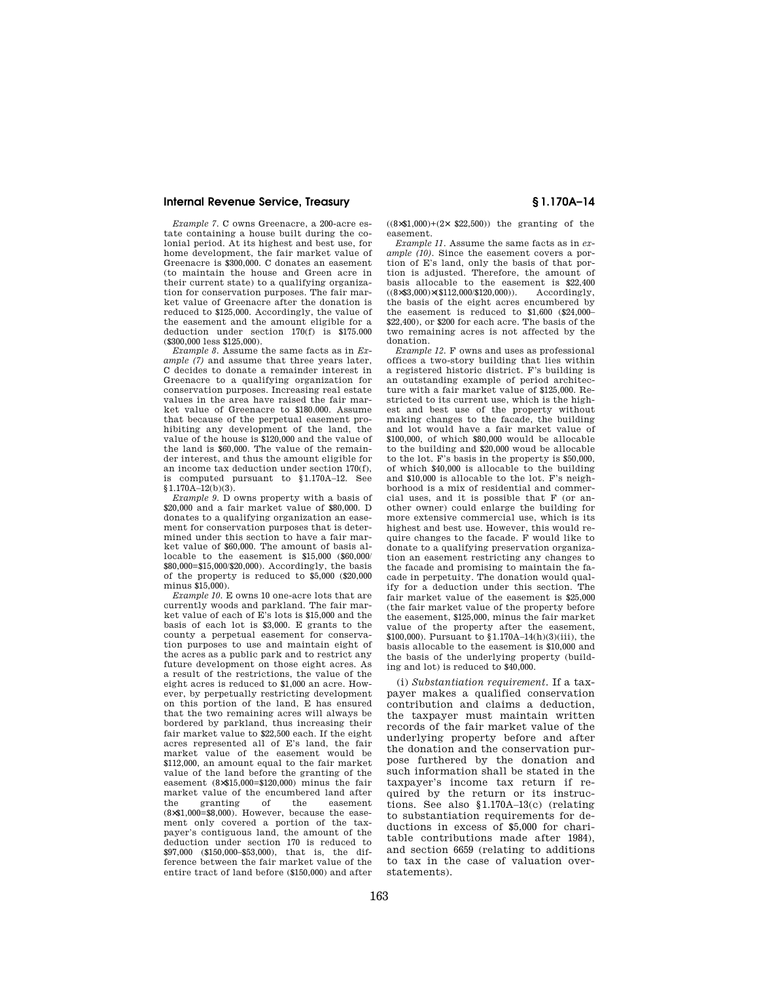*Example 7.* C owns Greenacre, a 200-acre estate containing a house built during the colonial period. At its highest and best use, for home development, the fair market value of Greenacre is \$300,000. C donates an easement (to maintain the house and Green acre in their current state) to a qualifying organization for conservation purposes. The fair market value of Greenacre after the donation is reduced to \$125,000. Accordingly, the value of the easement and the amount eligible for a deduction under section 170(f) is \$175.000 (\$300,000 less \$125,000).

*Example 8.* Assume the same facts as in *Example (7)* and assume that three years later, C decides to donate a remainder interest in Greenacre to a qualifying organization for conservation purposes. Increasing real estate values in the area have raised the fair market value of Greenacre to \$180.000. Assume that because of the perpetual easement prohibiting any development of the land, the value of the house is \$120,000 and the value of the land is \$60,000. The value of the remainder interest, and thus the amount eligible for an income tax deduction under section 170(f), is computed pursuant to § 1.170A–12. See  $$1.170A-12(b)(3).$ 

*Example 9.* D owns property with a basis of \$20,000 and a fair market value of \$80,000. D donates to a qualifying organization an easement for conservation purposes that is determined under this section to have a fair market value of \$60,000. The amount of basis allocable to the easement is \$15,000 (\$60,000/ \$80,000=\$15,000/\$20,000). Accordingly, the basis of the property is reduced to \$5,000 (\$20,000 minus \$15,000).

*Example 10.* E owns 10 one-acre lots that are currently woods and parkland. The fair market value of each of E's lots is \$15,000 and the basis of each lot is \$3,000. E grants to the county a perpetual easement for conservation purposes to use and maintain eight of the acres as a public park and to restrict any future development on those eight acres. As a result of the restrictions, the value of the eight acres is reduced to \$1,000 an acre. However, by perpetually restricting development on this portion of the land, E has ensured that the two remaining acres will always be bordered by parkland, thus increasing their fair market value to \$22,500 each. If the eight acres represented all of E's land, the fair market value of the easement would be \$112,000, an amount equal to the fair market value of the land before the granting of the easement (8×\$15,000=\$120,000) minus the fair market value of the encumbered land after the granting of the easement  $(8\times\$1,000=\$8,000)$ . However, because the easement only covered a portion of the taxpayer's contiguous land, the amount of the deduction under section 170 is reduced to \$97,000 (\$150,000–\$53,000), that is, the difference between the fair market value of the entire tract of land before (\$150,000) and after

 $((8 \times \$1,000)+(2 \times \$22,500))$  the granting of the easement.

*Example 11.* Assume the same facts as in *example (10).* Since the easement covers a portion of E's land, only the basis of that portion is adjusted. Therefore, the amount of basis allocable to the easement is  $$22,400$  ( $8\times$3.000)\times$112,000\%120,000)$ ). Accordingly,  $((8\times$3,000)\times$($112,000/$120,000)).$ the basis of the eight acres encumbered by the easement is reduced to \$1,600 (\$24,000– \$22,400), or \$200 for each acre. The basis of the two remaining acres is not affected by the donation.

*Example 12.* F owns and uses as professional offices a two-story building that lies within a registered historic district. F's building is an outstanding example of period architecture with a fair market value of \$125,000. Restricted to its current use, which is the highest and best use of the property without making changes to the facade, the building and lot would have a fair market value of \$100,000, of which \$80,000 would be allocable to the building and \$20,000 woud be allocable to the lot. F's basis in the property is \$50,000, of which \$40,000 is allocable to the building and \$10,000 is allocable to the lot. F's neighborhood is a mix of residential and commercial uses, and it is possible that F (or another owner) could enlarge the building for more extensive commercial use, which is its highest and best use. However, this would require changes to the facade. F would like to donate to a qualifying preservation organization an easement restricting any changes to the facade and promising to maintain the facade in perpetuity. The donation would qualify for a deduction under this section. The fair market value of the easement is \$25,000 (the fair market value of the property before the easement, \$125,000, minus the fair market value of the property after the easement, \$100,000). Pursuant to § 1.170A–14(h)(3)(iii), the basis allocable to the easement is \$10,000 and the basis of the underlying property (building and lot) is reduced to \$40,000.

(i) *Substantiation requirement.* If a taxpayer makes a qualified conservation contribution and claims a deduction, the taxpayer must maintain written records of the fair market value of the underlying property before and after the donation and the conservation purpose furthered by the donation and such information shall be stated in the taxpayer's income tax return if required by the return or its instructions. See also § 1.170A–13(c) (relating to substantiation requirements for deductions in excess of \$5,000 for charitable contributions made after 1984), and section 6659 (relating to additions to tax in the case of valuation overstatements).